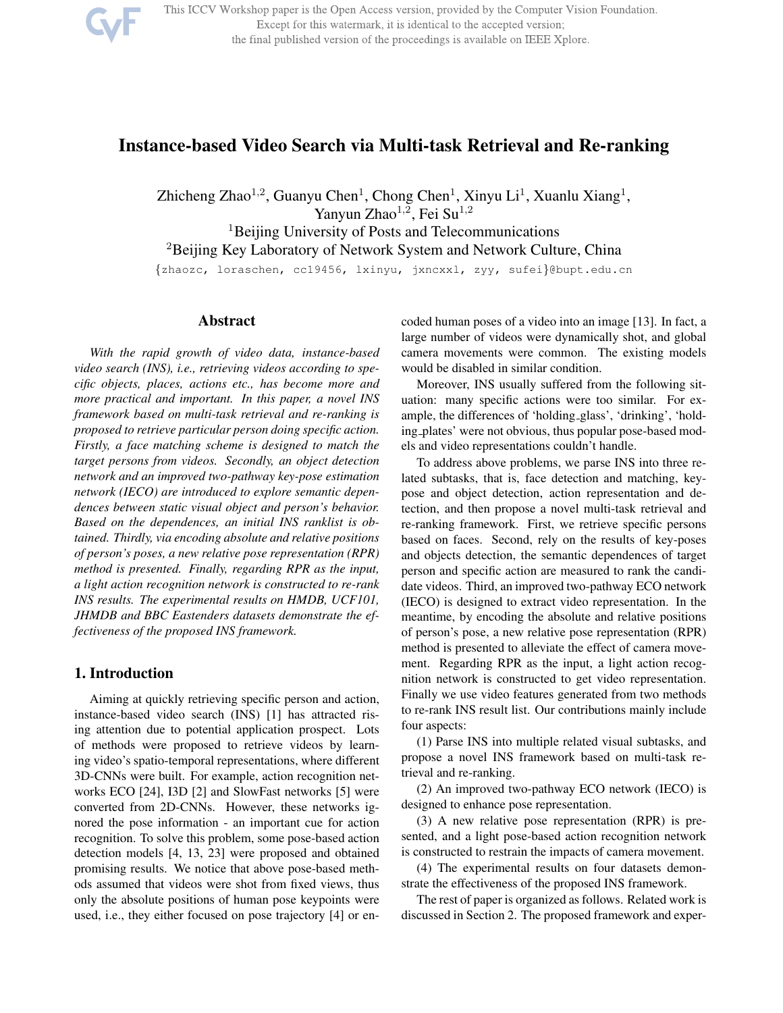

This ICCV Workshop paper is the Open Access version, provided by the Computer Vision Foundation. Except for this watermark, it is identical to the accepted version; the final published version of the proceedings is available on IEEE Xplore.

# Instance-based Video Search via Multi-task Retrieval and Re-ranking

Zhicheng Zhao<sup>1,2</sup>, Guanyu Chen<sup>1</sup>, Chong Chen<sup>1</sup>, Xinyu Li<sup>1</sup>, Xuanlu Xiang<sup>1</sup>, Yanyun Zhao<sup>1,2</sup>, Fei Su<sup>1,2</sup>

<sup>1</sup>Beijing University of Posts and Telecommunications <sup>2</sup>Beijing Key Laboratory of Network System and Network Culture, China {zhaozc, loraschen, cc19456, lxinyu, jxncxxl, zyy, sufei}@bupt.edu.cn

# Abstract

*With the rapid growth of video data, instance-based video search (INS), i.e., retrieving videos according to specific objects, places, actions etc., has become more and more practical and important. In this paper, a novel INS framework based on multi-task retrieval and re-ranking is proposed to retrieve particular person doing specific action. Firstly, a face matching scheme is designed to match the target persons from videos. Secondly, an object detection network and an improved two-pathway key-pose estimation network (IECO) are introduced to explore semantic dependences between static visual object and person's behavior. Based on the dependences, an initial INS ranklist is obtained. Thirdly, via encoding absolute and relative positions of person's poses, a new relative pose representation (RPR) method is presented. Finally, regarding RPR as the input, a light action recognition network is constructed to re-rank INS results. The experimental results on HMDB, UCF101, JHMDB and BBC Eastenders datasets demonstrate the effectiveness of the proposed INS framework.*

# 1. Introduction

Aiming at quickly retrieving specific person and action, instance-based video search (INS) [1] has attracted rising attention due to potential application prospect. Lots of methods were proposed to retrieve videos by learning video's spatio-temporal representations, where different 3D-CNNs were built. For example, action recognition networks ECO [24], I3D [2] and SlowFast networks [5] were converted from 2D-CNNs. However, these networks ignored the pose information - an important cue for action recognition. To solve this problem, some pose-based action detection models [4, 13, 23] were proposed and obtained promising results. We notice that above pose-based methods assumed that videos were shot from fixed views, thus only the absolute positions of human pose keypoints were used, i.e., they either focused on pose trajectory [4] or encoded human poses of a video into an image [13]. In fact, a large number of videos were dynamically shot, and global camera movements were common. The existing models would be disabled in similar condition.

Moreover, INS usually suffered from the following situation: many specific actions were too similar. For example, the differences of 'holding glass', 'drinking', 'holding plates' were not obvious, thus popular pose-based models and video representations couldn't handle.

To address above problems, we parse INS into three related subtasks, that is, face detection and matching, keypose and object detection, action representation and detection, and then propose a novel multi-task retrieval and re-ranking framework. First, we retrieve specific persons based on faces. Second, rely on the results of key-poses and objects detection, the semantic dependences of target person and specific action are measured to rank the candidate videos. Third, an improved two-pathway ECO network (IECO) is designed to extract video representation. In the meantime, by encoding the absolute and relative positions of person's pose, a new relative pose representation (RPR) method is presented to alleviate the effect of camera movement. Regarding RPR as the input, a light action recognition network is constructed to get video representation. Finally we use video features generated from two methods to re-rank INS result list. Our contributions mainly include four aspects:

(1) Parse INS into multiple related visual subtasks, and propose a novel INS framework based on multi-task retrieval and re-ranking.

(2) An improved two-pathway ECO network (IECO) is designed to enhance pose representation.

(3) A new relative pose representation (RPR) is presented, and a light pose-based action recognition network is constructed to restrain the impacts of camera movement.

(4) The experimental results on four datasets demonstrate the effectiveness of the proposed INS framework.

The rest of paper is organized as follows. Related work is discussed in Section 2. The proposed framework and exper-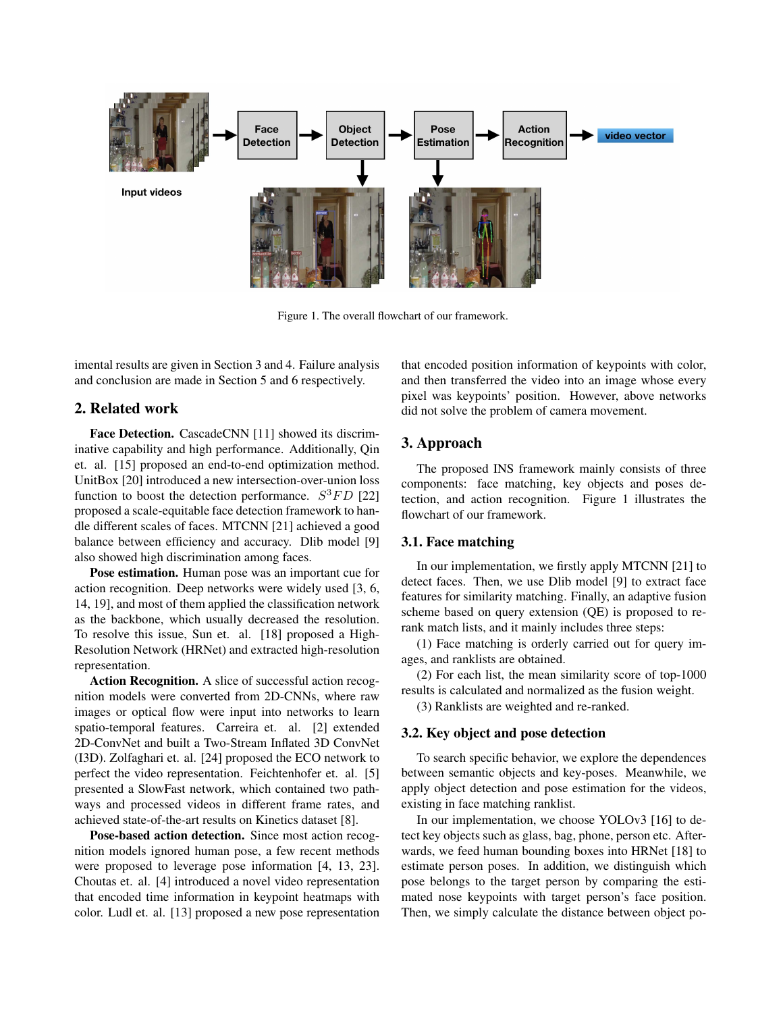

Figure 1. The overall flowchart of our framework.

imental results are given in Section 3 and 4. Failure analysis and conclusion are made in Section 5 and 6 respectively.

# 2. Related work

Face Detection. CascadeCNN [11] showed its discriminative capability and high performance. Additionally, Qin et. al. [15] proposed an end-to-end optimization method. UnitBox [20] introduced a new intersection-over-union loss function to boost the detection performance.  $S^3FD$  [22] proposed a scale-equitable face detection framework to handle different scales of faces. MTCNN [21] achieved a good balance between efficiency and accuracy. Dlib model [9] also showed high discrimination among faces.

Pose estimation. Human pose was an important cue for action recognition. Deep networks were widely used [3, 6, 14, 19], and most of them applied the classification network as the backbone, which usually decreased the resolution. To resolve this issue, Sun et. al. [18] proposed a High-Resolution Network (HRNet) and extracted high-resolution representation.

Action Recognition. A slice of successful action recognition models were converted from 2D-CNNs, where raw images or optical flow were input into networks to learn spatio-temporal features. Carreira et. al. [2] extended 2D-ConvNet and built a Two-Stream Inflated 3D ConvNet (I3D). Zolfaghari et. al. [24] proposed the ECO network to perfect the video representation. Feichtenhofer et. al. [5] presented a SlowFast network, which contained two pathways and processed videos in different frame rates, and achieved state-of-the-art results on Kinetics dataset [8].

Pose-based action detection. Since most action recognition models ignored human pose, a few recent methods were proposed to leverage pose information [4, 13, 23]. Choutas et. al. [4] introduced a novel video representation that encoded time information in keypoint heatmaps with color. Ludl et. al. [13] proposed a new pose representation

that encoded position information of keypoints with color, and then transferred the video into an image whose every pixel was keypoints' position. However, above networks did not solve the problem of camera movement.

# 3. Approach

The proposed INS framework mainly consists of three components: face matching, key objects and poses detection, and action recognition. Figure 1 illustrates the flowchart of our framework.

# 3.1. Face matching

In our implementation, we firstly apply MTCNN [21] to detect faces. Then, we use Dlib model [9] to extract face features for similarity matching. Finally, an adaptive fusion scheme based on query extension (QE) is proposed to rerank match lists, and it mainly includes three steps:

(1) Face matching is orderly carried out for query images, and ranklists are obtained.

(2) For each list, the mean similarity score of top-1000 results is calculated and normalized as the fusion weight.

(3) Ranklists are weighted and re-ranked.

# 3.2. Key object and pose detection

To search specific behavior, we explore the dependences between semantic objects and key-poses. Meanwhile, we apply object detection and pose estimation for the videos, existing in face matching ranklist.

In our implementation, we choose YOLOv3 [16] to detect key objects such as glass, bag, phone, person etc. Afterwards, we feed human bounding boxes into HRNet [18] to estimate person poses. In addition, we distinguish which pose belongs to the target person by comparing the estimated nose keypoints with target person's face position. Then, we simply calculate the distance between object po-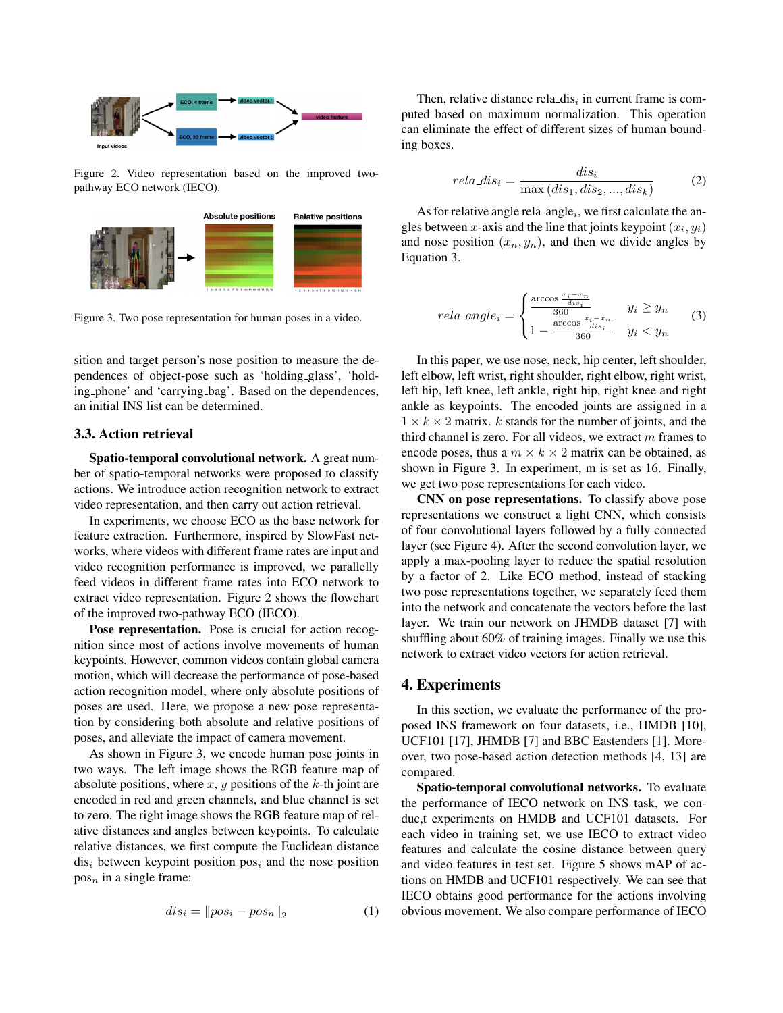

Figure 2. Video representation based on the improved twopathway ECO network (IECO).



Figure 3. Two pose representation for human poses in a video.

sition and target person's nose position to measure the dependences of object-pose such as 'holding glass', 'holding phone' and 'carrying bag'. Based on the dependences, an initial INS list can be determined.

#### 3.3. Action retrieval

Spatio-temporal convolutional network. A great number of spatio-temporal networks were proposed to classify actions. We introduce action recognition network to extract video representation, and then carry out action retrieval.

In experiments, we choose ECO as the base network for feature extraction. Furthermore, inspired by SlowFast networks, where videos with different frame rates are input and video recognition performance is improved, we parallelly feed videos in different frame rates into ECO network to extract video representation. Figure 2 shows the flowchart of the improved two-pathway ECO (IECO).

Pose representation. Pose is crucial for action recognition since most of actions involve movements of human keypoints. However, common videos contain global camera motion, which will decrease the performance of pose-based action recognition model, where only absolute positions of poses are used. Here, we propose a new pose representation by considering both absolute and relative positions of poses, and alleviate the impact of camera movement.

As shown in Figure 3, we encode human pose joints in two ways. The left image shows the RGB feature map of absolute positions, where  $x$ ,  $y$  positions of the  $k$ -th joint are encoded in red and green channels, and blue channel is set to zero. The right image shows the RGB feature map of relative distances and angles between keypoints. To calculate relative distances, we first compute the Euclidean distance  $dis<sub>i</sub>$  between keypoint position pos<sub>i</sub> and the nose position  $pos<sub>n</sub>$  in a single frame:

$$
dis_i = \|pos_i - pos_n\|_2 \tag{1}
$$

Then, relative distance rela\_dis $_i$  in current frame is computed based on maximum normalization. This operation can eliminate the effect of different sizes of human bounding boxes.

$$
rela\_dis_i = \frac{dis_i}{\max(dis_1, dis_2, ..., dis_k)}
$$
 (2)

As for relative angle rela\_angle<sub>i</sub>, we first calculate the angles between x-axis and the line that joints keypoint  $(x_i, y_i)$ and nose position  $(x_n, y_n)$ , and then we divide angles by Equation 3.

$$
rela\_angle_i = \begin{cases} \frac{\arccos\frac{x_i - x_n}{dis_i}}{360} & y_i \ge y_n\\ 1 - \frac{\arccos\frac{x_i - x_n}{dis_i}}{360} & y_i < y_n \end{cases} \tag{3}
$$

In this paper, we use nose, neck, hip center, left shoulder, left elbow, left wrist, right shoulder, right elbow, right wrist, left hip, left knee, left ankle, right hip, right knee and right ankle as keypoints. The encoded joints are assigned in a  $1 \times k \times 2$  matrix. k stands for the number of joints, and the third channel is zero. For all videos, we extract  $m$  frames to encode poses, thus a  $m \times k \times 2$  matrix can be obtained, as shown in Figure 3. In experiment, m is set as 16. Finally, we get two pose representations for each video.

CNN on pose representations. To classify above pose representations we construct a light CNN, which consists of four convolutional layers followed by a fully connected layer (see Figure 4). After the second convolution layer, we apply a max-pooling layer to reduce the spatial resolution by a factor of 2. Like ECO method, instead of stacking two pose representations together, we separately feed them into the network and concatenate the vectors before the last layer. We train our network on JHMDB dataset [7] with shuffling about 60% of training images. Finally we use this network to extract video vectors for action retrieval.

# 4. Experiments

In this section, we evaluate the performance of the proposed INS framework on four datasets, i.e., HMDB [10], UCF101 [17], JHMDB [7] and BBC Eastenders [1]. Moreover, two pose-based action detection methods [4, 13] are compared.

Spatio-temporal convolutional networks. To evaluate the performance of IECO network on INS task, we conduc,t experiments on HMDB and UCF101 datasets. For each video in training set, we use IECO to extract video features and calculate the cosine distance between query and video features in test set. Figure 5 shows mAP of actions on HMDB and UCF101 respectively. We can see that IECO obtains good performance for the actions involving obvious movement. We also compare performance of IECO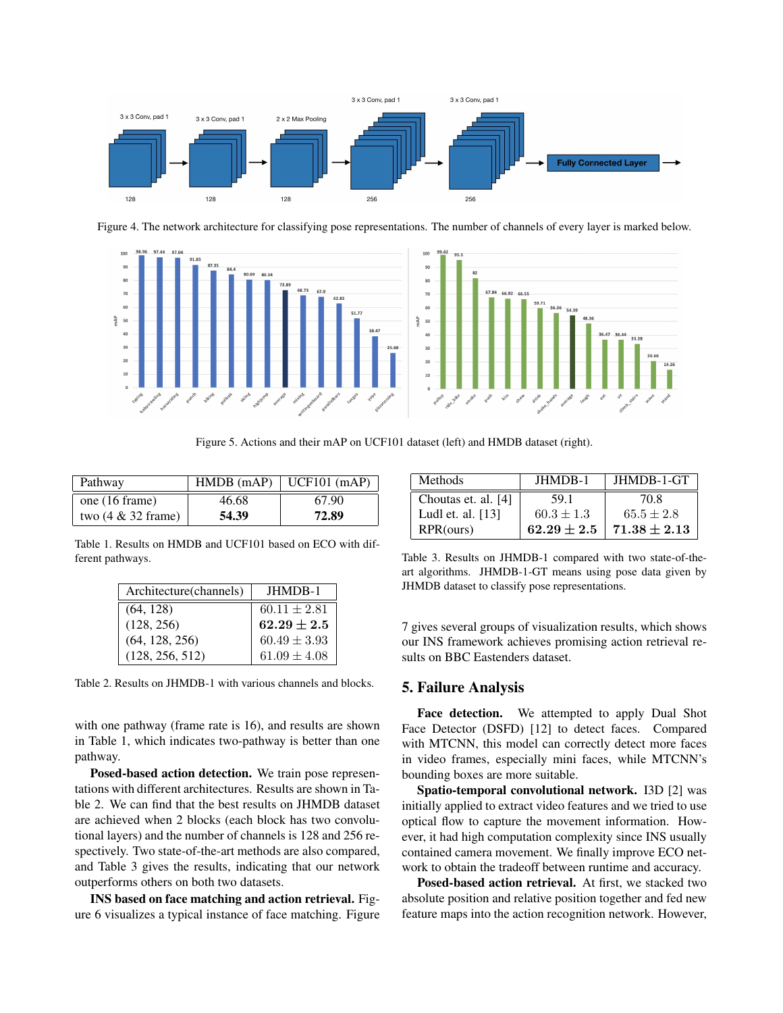

Figure 4. The network architecture for classifying pose representations. The number of channels of every layer is marked below.



Figure 5. Actions and their mAP on UCF101 dataset (left) and HMDB dataset (right).

| Pathway               | HMDB(mAP) | $\vert$ UCF101 (mAP) |
|-----------------------|-----------|----------------------|
| one (16 frame)        | 46.68     | 67.90                |
| two $(4 \& 32$ frame) | 54.39     | 72.89                |

Table 1. Results on HMDB and UCF101 based on ECO with different pathways.

| Architecture (channels) | JHMDB-1          |
|-------------------------|------------------|
| (64, 128)               | $60.11 \pm 2.81$ |
| (128, 256)              | $62.29 \pm 2.5$  |
| (64, 128, 256)          | $60.49 \pm 3.93$ |
| (128, 256, 512)         | $61.09 \pm 4.08$ |

Table 2. Results on JHMDB-1 with various channels and blocks.

with one pathway (frame rate is 16), and results are shown in Table 1, which indicates two-pathway is better than one pathway.

Posed-based action detection. We train pose representations with different architectures. Results are shown in Table 2. We can find that the best results on JHMDB dataset are achieved when 2 blocks (each block has two convolutional layers) and the number of channels is 128 and 256 respectively. Two state-of-the-art methods are also compared, and Table 3 gives the results, indicating that our network outperforms others on both two datasets.

INS based on face matching and action retrieval. Figure 6 visualizes a typical instance of face matching. Figure

| <b>Methods</b>      | <b>JHMDB-1</b> | JHMDB-1-GT       |
|---------------------|----------------|------------------|
| Choutas et. al. [4] | 59.1           | 70 S             |
| Ludl et. al. [13]   | $60.3 \pm 1.3$ | $65.5 \pm 2.8$   |
| RPR(ours)           | $62.29 + 2.5$  | $71.38 \pm 2.13$ |

Table 3. Results on JHMDB-1 compared with two state-of-theart algorithms. JHMDB-1-GT means using pose data given by JHMDB dataset to classify pose representations.

7 gives several groups of visualization results, which shows our INS framework achieves promising action retrieval results on BBC Eastenders dataset.

# 5. Failure Analysis

Face detection. We attempted to apply Dual Shot Face Detector (DSFD) [12] to detect faces. Compared with MTCNN, this model can correctly detect more faces in video frames, especially mini faces, while MTCNN's bounding boxes are more suitable.

Spatio-temporal convolutional network. I3D [2] was initially applied to extract video features and we tried to use optical flow to capture the movement information. However, it had high computation complexity since INS usually contained camera movement. We finally improve ECO network to obtain the tradeoff between runtime and accuracy.

Posed-based action retrieval. At first, we stacked two absolute position and relative position together and fed new feature maps into the action recognition network. However,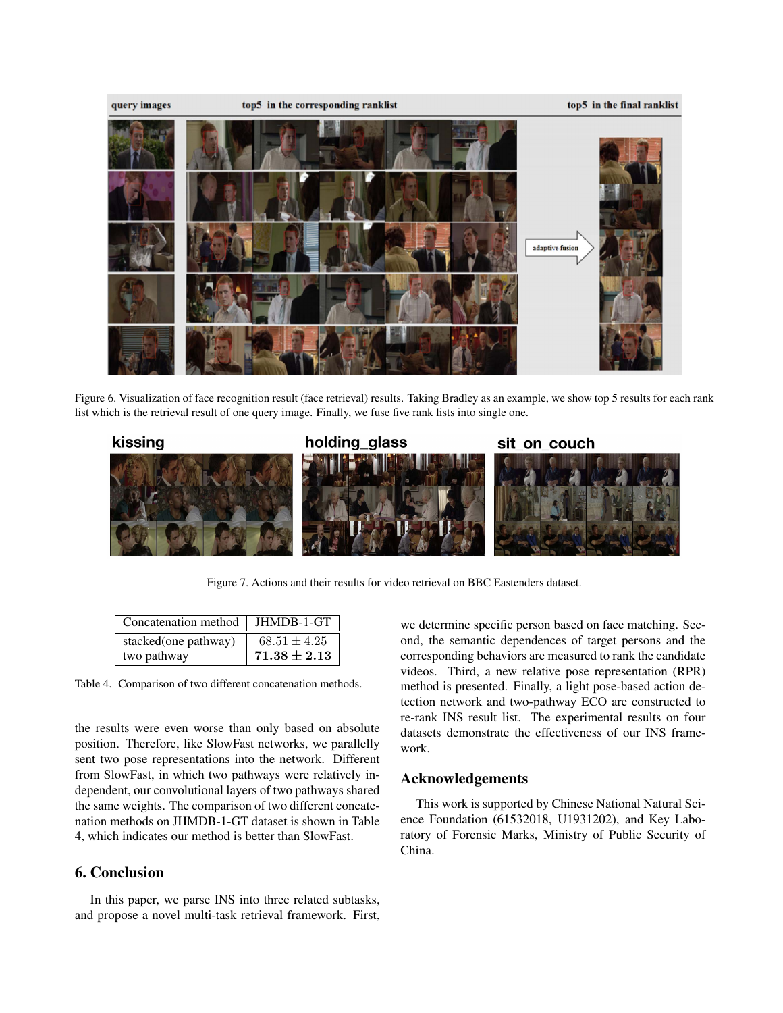

Figure 6. Visualization of face recognition result (face retrieval) results. Taking Bradley as an example, we show top 5 results for each rank list which is the retrieval result of one query image. Finally, we fuse five rank lists into single one.



Figure 7. Actions and their results for video retrieval on BBC Eastenders dataset.

| Concatenation method | JHMDB-1-GT       |
|----------------------|------------------|
| stacked(one pathway) | $68.51 \pm 4.25$ |
| two pathway          | $71.38 \pm 2.13$ |

Table 4. Comparison of two different concatenation methods.

the results were even worse than only based on absolute position. Therefore, like SlowFast networks, we parallelly sent two pose representations into the network. Different from SlowFast, in which two pathways were relatively independent, our convolutional layers of two pathways shared the same weights. The comparison of two different concatenation methods on JHMDB-1-GT dataset is shown in Table 4, which indicates our method is better than SlowFast.

# 6. Conclusion

In this paper, we parse INS into three related subtasks, and propose a novel multi-task retrieval framework. First, we determine specific person based on face matching. Second, the semantic dependences of target persons and the corresponding behaviors are measured to rank the candidate videos. Third, a new relative pose representation (RPR) method is presented. Finally, a light pose-based action detection network and two-pathway ECO are constructed to re-rank INS result list. The experimental results on four datasets demonstrate the effectiveness of our INS framework.

# Acknowledgements

This work is supported by Chinese National Natural Science Foundation (61532018, U1931202), and Key Laboratory of Forensic Marks, Ministry of Public Security of China.